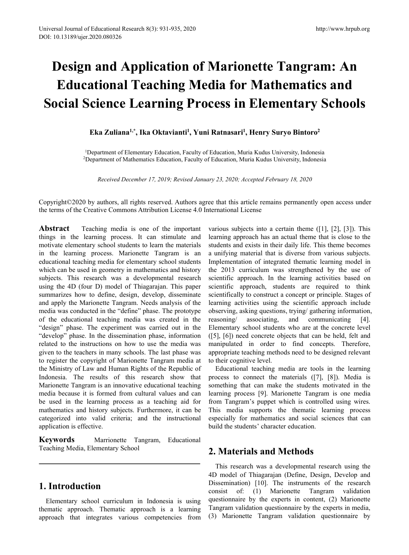# **Design and Application of Marionette Tangram: An Educational Teaching Media for Mathematics and Social Science Learning Process in Elementary Schools** Educational Research 8(3): 931-935, 2020<br>2020.080326<br> **ational Teaching Media**<br> **cience Learning Proces**<br>
Eka Zuliana<sup>1,\*</sup>, Ika Oktavianti<sup>1</sup>, Yuni Rat<br>
Department of Elementary Education, Faculty of Educepartment of Mathe Fraching Media for Manusland<br>**Peaching Media for Manusland Carning Process in Ele<br>
<b>Examing Process in Ele**<br> **,** Ika Oktavianti<sup>1</sup>, Yuni Ratnasari<sup>1</sup>, Henry<br>
Rentary Education, Faculty of Education, Muria Kudus<br>
ematics Ed <sup>http:/</sup><br> **of Marionette Tangram<br>
<b>Media for Mathematics**<br> **Process in Elementary S**<br>
, Yuni Ratnasari<sup>1</sup>, Henry Suryo Bintoro<sup>2</sup><br>
culty of Education, Muria Kudus University, Indonesia<br>
culty of Education, Muria Kudus Univ http://www.hrpub.org<br> **nette Tangram: An**<br> **Mathematics and<br>
Elementary Schools**<br>
, Henry Suryo Bintoro<sup>2</sup><br>
ria Kudus University, Indonesia<br>
ria Kudus University, Indonesia **19 Application of Marionette Tangram: An**<br> **Science Learning Media for Mathematics and<br>
Science Learning Process in Elementary Schools**<br> **Eka Zuliana<sup>1,\*</sup>, Ika Oktavianti<sup>1</sup>, Yuni Ratnasari<sup>1</sup>, Henry Suryo Bintoro<sup>2</sup><br>
<sup>1</sup>** II and Application of Mathematics and<br>
cational Teaching Media for Mathematics and<br>
Science Learning Process in Elementary Schools<br>
Eka Zuliana<sup>1,\*</sup>, Ika Oktavianti<sup>1</sup>, Yuni Ratnasari<sup>1</sup>, Henry Suryo Bintoro<sup>2</sup><br>
<sup>1</sup>Departm **Received December 17, 2019; Revised January 23, 2020; Accepted February 18, 2020**<br>Received December 17, 2019; Revised January 23, 2020; Accepted February 18, 2020<br>authors, all rights reserved. Authors agree that this arti

Copyright©2020 by authors, all rights reserved. Authors agree that this article remains permanently open access under the terms of the Creative Commons Attribution License 4.0 International License

**Abstract** Teaching media is one of the important things in the learning process. It can stimulate and motivate elementary school students to learn the materials in the learning process. Marionette Tangram is an educational teaching media for elementary school students which can be used in geometry in mathematics and history subjects. This research was a developmental research using the 4D (four D) model of Thiagarajan. This paper summarizes how to define, design, develop, disseminate and apply the Marionette Tangram. Needs analysis of the media was conducted in the "define" phase. The prototype of the educational teaching media was created in the "design" phase. The experiment was carried out in the "develop" phase. In the dissemination phase, information related to the instructions on how to use the media was given to the teachers in many schools. The last phase was to register the copyright of Marionette Tangram media at the Ministry of Law and Human Rights of the Republic of Indonesia. The results of this research show that Marionette Tangram is an innovative educational teaching media because it is formed from cultural values and can be used in the learning process as a teaching aid for mathematics and history subjects. Furthermore, it can be categorized into valid criteria; and the instructional application is effective.

**Keywords** Marrionette Tangram, Educational Teaching Media, Elementary School

# **1. Introduction**

Elementary school curriculum in Indonesia is using thematic approach. Thematic approach is a learning approach that integrates various competencies from various subjects into a certain theme ([1], [2], [3]). This learning approach has an actual theme that is close to the students and exists in their daily life. This theme becomes a unifying material that is diverse from various subjects. Implementation of integrated thematic learning model in the 2013 curriculum was strengthened by the use of scientific approach. In the learning activities based on scientific approach, students are required to think scientifically to construct a concept or principle. Stages of learning activities using the scientific approach include observing, asking questions, trying/ gathering information, and communicating  $[4]$ . Elementary school students who are at the concrete level ([5], [6]) need concrete objects that can be held, felt and manipulated in order to find concepts. Therefore, appropriate teaching methods need to be designed relevant to their cognitive level.

Educational teaching media are tools in the learning process to connect the materials ([7], [8]). Media is something that can make the students motivated in the learning process [9]. Marionette Tangram is one media from Tangram's puppet which is controlled using wires. This media supports the thematic learning process especially for mathematics and social sciences that can build the students' character education.

## **2. Materials and Methods**

This research was a developmental research using the 4D model of Thiagarajan (Define, Design, Develop and Dissemination) [10]. The instruments of the research consist of: (1) Marionette Tangram validation questionnaire by the experts in content, (2) Marionette Tangram validation questionnaire by the experts in media, (3) Marionette Tangram validation questionnaire by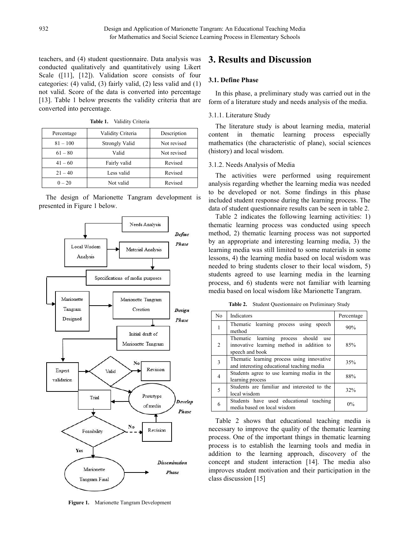teachers, and (4) student questionnaire. Data analysis was conducted qualitatively and quantitatively using Likert Scale ([11], [12]). Validation score consists of four categories: (4) valid, (3) fairly valid, (2) less valid and (1) not valid. Score of the data is converted into percentage [13]. Table 1 below presents the validity criteria that are converted into percentage.

|            |                   |             | The interature study is about rearning media, in        |
|------------|-------------------|-------------|---------------------------------------------------------|
| Percentage | Validity Criteria | Description | learning<br>thematic<br>process<br>in<br>content<br>esp |
| $81 - 100$ | Strongly Valid    | Not revised | mathematics (the characteristic of plane), social so    |
| $61 - 80$  | Valid             | Not revised | (history) and local wisdom.                             |
| $41 - 60$  | Fairly valid      | Revised     | 3.1.2. Needs Analysis of Media                          |
| $21 - 40$  | Less valid        | Revised     | The activities were performed using requi               |
| $0 - 20$   | Not valid         | Revised     | analysis regarding whether the learning media was       |

**Table 1.** Validity Criteria

The design of Marionette Tangram development is presented in Figure 1 below.



**Figure 1.** Marionette Tangram Development

# **3. Results and Discussion**

### **3.1. Define Phase**

In this phase, a preliminary study was carried out in the form of a literature study and needs analysis of the media.

### 3.1.1. Literature Study

content 81 – 100 Strongly Valid Not revised mathematics (the characteristic of plane), social sciences The literature study is about learning media, material in thematic learning process especially

 $0 - 20$  Not valid Revised analysis regarding whether the learning media was needed The activities were performed using requirement to be developed or not. Some findings in this phase included student response during the learning process. The data of student questionnaire results can be seen in table 2.

> Table 2 indicates the following learning activities: 1) thematic learning process was conducted using speech method, 2) thematic learning process was not supported by an appropriate and interesting learning media, 3) the learning media was still limited to some materials in some lessons, 4) the learning media based on local wisdom was needed to bring students closer to their local wisdom, 5) students agreed to use learning media in the learning process, and 6) students were not familiar with learning media based on local wisdom like Marionette Tangram.

**Table 2.** Student Questionnaire on Preliminary Study

| N <sub>0</sub> | Indicators                                                                                              | Percentage |
|----------------|---------------------------------------------------------------------------------------------------------|------------|
| 1              | Thematic learning process using speech<br>method                                                        | 90%        |
| 2              | Thematic learning process should<br>use<br>innovative learning method in addition to<br>speech and book | 85%        |
| 3              | Thematic learning process using innovative<br>and interesting educational teaching media                | 35%        |
| 4              | Students agree to use learning media in the<br>learning process                                         | 88%        |
| 5              | Students are familiar and interested to the<br>local wisdom                                             | 32%        |
| 6              | Students have used educational teaching<br>media based on local wisdom                                  | $0\%$      |

Table 2 shows that educational teaching media is necessary to improve the quality of the thematic learning process. One of the important things in thematic learning process is to establish the learning tools and media in addition to the learning approach, discovery of the concept and student interaction [14]. The media also improves student motivation and their participation in the class discussion [15]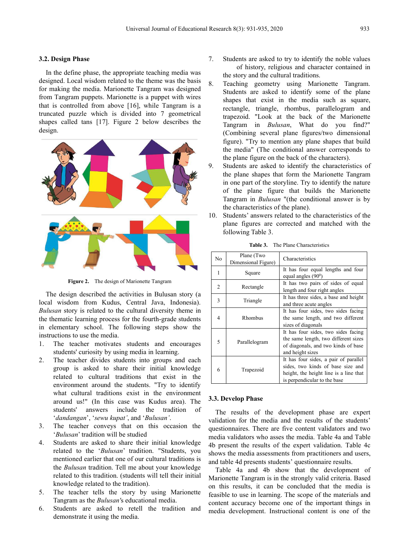### **3.2. Design Phase**

In the define phase, the appropriate teaching media was designed. Local wisdom related to the theme was the basis  $\frac{8}{3}$ for making the media. Marionette Tangram was designed from Tangram puppets. Marionette is a puppet with wires that is controlled from above [16], while Tangram is a truncated puzzle which is divided into 7 geometrical shapes called tans  $[17]$ . Figure 2 below describes the design.



**Figure 2.** The design of Marionette Tangram

The design described the activities in Bulusan story (a local wisdom from Kudus, Central Java, Indonesia). *Bulusan* story is related to the cultural diversity theme in the thematic learning process for the fourth-grade students in elementary school. The following steps show the instructions to use the media.

- 1. The teacher motivates students and encourages students' curiosity by using media in learning.
- 2. The teacher divides students into groups and each group is asked to share their initial knowledge related to cultural traditions that exist in the environment around the students. "Try to identify what cultural traditions exist in the environment around us!" (In this case was Kudus area). The students' answers include the tradition of '*dandangan*', '*sewu kupat'*, and '*Bulusan'*.
- 3. The teacher conveys that on this occasion the '*Bulusan*' tradition will be studied
- 4. Students are asked to share their initial knowledge related to the '*Bulusan*' tradition. "Students, you mentioned earlier that one of our cultural traditions is the *Bulusan* tradition. Tell me about your knowledge related to this tradition. (students will tell their initial knowledge related to the tradition).
- 5. The teacher tells the story by using Marionette Tangram as the *Bulusan'*s educational media.
- 6. Students are asked to retell the tradition and demonstrate it using the media.
- 7. Students are asked to try to identify the noble values of history, religious and character contained in the story and the cultural traditions.
- Teaching geometry using Marionette Tangram. Students are asked to identify some of the plane shapes that exist in the media such as square, rectangle, triangle, rhombus, parallelogram and trapezoid. "Look at the back of the Marionette Tangram in *Bulusan*, What do you find?" (Combining several plane figures/two dimensional figure). "Try to mention any plane shapes that build the media" (The conditional answer corresponds to the plane figure on the back of the characters).
- 9. Students are asked to identify the characteristics of the plane shapes that form the Marionette Tangram in one part of the storyline. Try to identify the nature of the plane figure that builds the Marionette Tangram in *Bulusan* "(the conditional answer is by the characteristics of the plane).
- 10. Students' answers related to the characteristics of the plane figures are corrected and matched with the following Table 3.

|                               | N <sub>0</sub> | Plane (Two<br>Dimensional Figure) | Characteristics                                                                                                                                      |  |  |
|-------------------------------|----------------|-----------------------------------|------------------------------------------------------------------------------------------------------------------------------------------------------|--|--|
|                               | 1              | Square                            | It has four equal lengths and four<br>equal angles $(90^0)$<br>It has two pairs of sides of equal<br>length and four right angles                    |  |  |
|                               | $\mathcal{L}$  | Rectangle                         |                                                                                                                                                      |  |  |
|                               | 3              | Triangle                          | It has three sides, a base and height<br>and three acute angles                                                                                      |  |  |
|                               | Rhombus<br>4   |                                   | It has four sides, two sides facing<br>the same length, and two different<br>sizes of diagonals                                                      |  |  |
| $\overline{\phantom{0}}$<br>6 |                | Parallelogram                     | It has four sides, two sides facing<br>the same length, two different sizes<br>of diagonals, and two kinds of base<br>and height sizes               |  |  |
|                               |                | Trapezoid                         | It has four sides, a pair of parallel<br>sides, two kinds of base size and<br>height, the height line is a line that<br>is perpendicular to the base |  |  |

**Table 3.** The Plane Characteristics

### **3.3. Develop Phase**

The results of the development phase are expert validation for the media and the results of the students' questionnaires. There are five content validators and two media validators who asses the media. Table 4a and Table 4b present the results of the expert validation. Table 4c shows the media assessments from practitioners and users, and table 4d presents students' questionnaire results.

Table 4a and 4b show that the development of Marionette Tangram is in the strongly valid criteria. Based on this results, it can be concluded that the media is feasible to use in learning. The scope of the materials and content accuracy become one of the important things in media development. Instructional content is one of the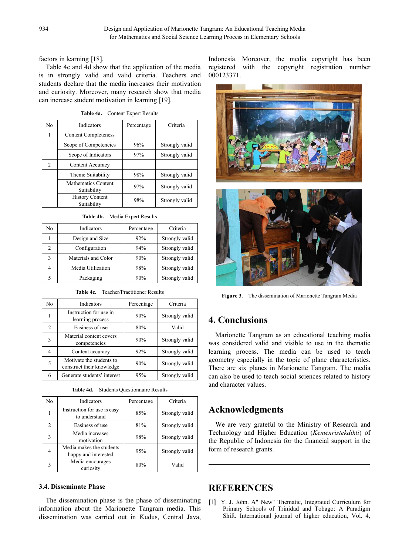factors in learning [18].

Table 4c and 4d show that the application of the media is in strongly valid and valid criteria. Teachers and students declare that the media increases their motivation and curiosity. Moreover, many research show that media can increase student motivation in learning [19].

**Table 4a.** Content Expert Results

| No. | Indicators                            | Percentage | Criteria       |  |
|-----|---------------------------------------|------------|----------------|--|
|     | <b>Content Completeness</b>           |            |                |  |
|     | Scope of Competencies                 | 96%        | Strongly valid |  |
|     | Scope of Indicators                   | 97%        | Strongly valid |  |
| 2   | Content Accuracy                      |            |                |  |
|     | Theme Suitability                     | 98%        | Strongly valid |  |
|     | Mathematics Content<br>Suitability    | 97%        | Strongly valid |  |
|     | <b>History Content</b><br>Suitability | 98%        | Strongly valid |  |

|  | Table 4b. Media Expert Results |  |
|--|--------------------------------|--|
|--|--------------------------------|--|

| No | Indicators          | Percentage | Criteria       |  |
|----|---------------------|------------|----------------|--|
|    | Design and Size     | 92%        | Strongly valid |  |
|    | Configuration       | 94%        | Strongly valid |  |
|    | Materials and Color | 90%        | Strongly valid |  |
| 4  | Media Utilization   | 98%        | Strongly valid |  |
|    | Packaging           | 90%        | Strongly valid |  |

| <b>Table 4c.</b> Teacher/Practitioner Results |
|-----------------------------------------------|
|-----------------------------------------------|

| No | Indicators                                            | Percentage | Criteria       |                                                                                              |
|----|-------------------------------------------------------|------------|----------------|----------------------------------------------------------------------------------------------|
|    | Instruction for use in<br>learning process            | 90%        | Strongly valid | 4. Conclusions                                                                               |
| 2  | Easiness of use                                       | 80%        | Valid          |                                                                                              |
|    | Material content covers<br>competencies               | 90%        | Strongly valid | Marionette Tangram as an educational teac<br>was considered valid and visible to use in the  |
| 4  | Content accuracy                                      | 92%        | Strongly valid | learning process. The media can be used                                                      |
|    | Motivate the students to<br>construct their knowledge | 90%        | Strongly valid | geometry especially in the topic of plane cha<br>There are six planes in Marionette Tangram. |
| 6  | Generate students' interest                           | 95%        | Strongly valid | can also be used to teach social sciences relate                                             |

**Table 4d.** Students Questionnaire Results

| N <sub>0</sub> | Indicators                                       | Percentage | Criteria       |                        |
|----------------|--------------------------------------------------|------------|----------------|------------------------|
|                | Instruction for use is easy<br>to understand     | 85%        | Strongly valid | <b>Ackno</b>           |
|                | Easiness of use                                  | 81%        | Strongly valid | We are                 |
| 3              | Media increases<br>motivation                    | 98%        | Strongly valid | Technolog<br>the Repub |
| $\overline{4}$ | Media makes the students<br>happy and interested | 95%        | Strongly valid | form of re             |
| 5              | Media encourages<br>curiosity                    | 80%        | Valid          |                        |

### **3.4. Disseminate Phase**

The dissemination phase is the phase of disseminating information about the Marionette Tangram media. This dissemination was carried out in Kudus, Central Java,

Indonesia. Moreover, the media copyright has been registered with the copyright registration number 000123371.



**Figure 3.** The dissemination of Marionette Tangram Media

4 Content accuracy 92% Stronglyvalid learning process. The media can be used to teach construct their knowledge 90% Stronglyvalid There are six planes in Marionette Tangram. The media 6 Generate students' interest 95% Strongly valid can also be used to teach social sciences related to history Marionette Tangram as an educational teaching media was considered valid and visible to use in the thematic geometry especially in the topic of plane characteristics. and character values.

# 85% Stronglyvalid **Acknowledgments**

2 Easiness of use 81% Strongly valid We are very grateful to the Ministry of Research and 98% Strongly valid the Republic of Indonesia for the financial support in the 95% Strongly valid form of research grants. Technology and Higher Education (*Kemenristekdikti*) of

# **REFERENCES**

Y. J. John. A" New" Thematic, Integrated Curriculum for Primary Schools of Trinidad and Tobago: A Paradigm Shift. International journal of higher education, Vol. 4,